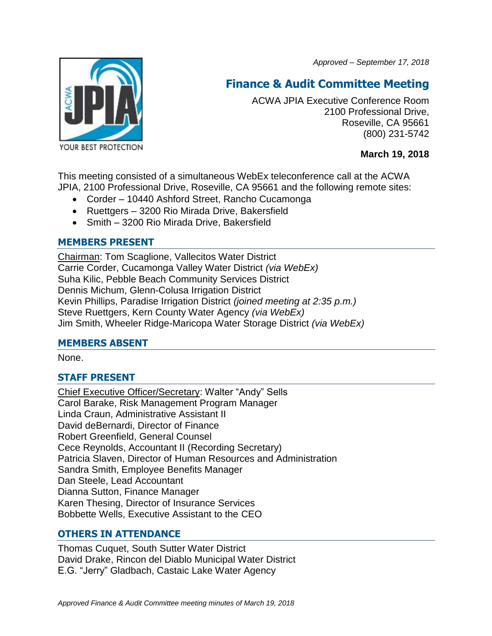*Approved – September 17, 2018*



# **Finance & Audit Committee Meeting**

ACWA JPIA Executive Conference Room 2100 Professional Drive, Roseville, CA 95661 (800) 231-5742

**March 19, 2018**

This meeting consisted of a simultaneous WebEx teleconference call at the ACWA JPIA, 2100 Professional Drive, Roseville, CA 95661 and the following remote sites:

- Corder 10440 Ashford Street, Rancho Cucamonga
- Ruettgers 3200 Rio Mirada Drive, Bakersfield
- Smith 3200 Rio Mirada Drive, Bakersfield

## **MEMBERS PRESENT**

Chairman: Tom Scaglione, Vallecitos Water District Carrie Corder, Cucamonga Valley Water District *(via WebEx)* Suha Kilic, Pebble Beach Community Services District Dennis Michum, Glenn-Colusa Irrigation District Kevin Phillips, Paradise Irrigation District *(joined meeting at 2:35 p.m.)* Steve Ruettgers, Kern County Water Agency *(via WebEx)* Jim Smith, Wheeler Ridge-Maricopa Water Storage District *(via WebEx)*

## **MEMBERS ABSENT**

None.

# **STAFF PRESENT**

Chief Executive Officer/Secretary: Walter "Andy" Sells Carol Barake, Risk Management Program Manager Linda Craun, Administrative Assistant II David deBernardi, Director of Finance Robert Greenfield, General Counsel Cece Reynolds, Accountant II (Recording Secretary) Patricia Slaven, Director of Human Resources and Administration Sandra Smith, Employee Benefits Manager Dan Steele, Lead Accountant Dianna Sutton, Finance Manager Karen Thesing, Director of Insurance Services Bobbette Wells, Executive Assistant to the CEO

# **OTHERS IN ATTENDANCE**

Thomas Cuquet, South Sutter Water District David Drake, Rincon del Diablo Municipal Water District E.G. "Jerry" Gladbach, Castaic Lake Water Agency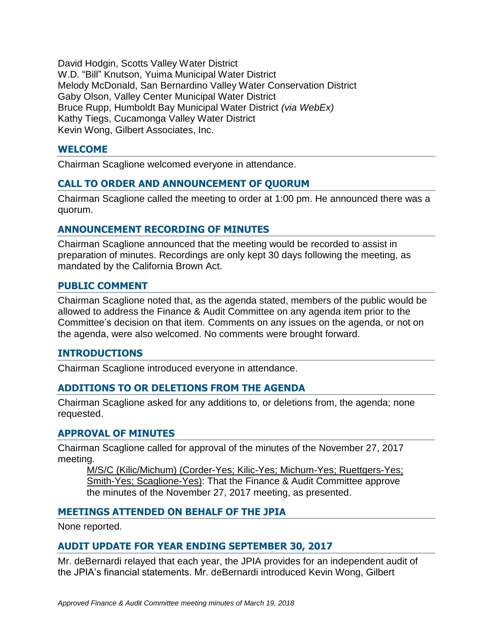David Hodgin, Scotts Valley Water District W.D. "Bill" Knutson, Yuima Municipal Water District Melody McDonald, San Bernardino Valley Water Conservation District Gaby Olson, Valley Center Municipal Water District Bruce Rupp, Humboldt Bay Municipal Water District *(via WebEx)* Kathy Tiegs, Cucamonga Valley Water District Kevin Wong, Gilbert Associates, Inc.

### **WELCOME**

Chairman Scaglione welcomed everyone in attendance.

## **CALL TO ORDER AND ANNOUNCEMENT OF QUORUM**

Chairman Scaglione called the meeting to order at 1:00 pm. He announced there was a quorum.

#### **ANNOUNCEMENT RECORDING OF MINUTES**

Chairman Scaglione announced that the meeting would be recorded to assist in preparation of minutes. Recordings are only kept 30 days following the meeting, as mandated by the California Brown Act.

#### **PUBLIC COMMENT**

Chairman Scaglione noted that, as the agenda stated, members of the public would be allowed to address the Finance & Audit Committee on any agenda item prior to the Committee's decision on that item. Comments on any issues on the agenda, or not on the agenda, were also welcomed. No comments were brought forward.

#### **INTRODUCTIONS**

Chairman Scaglione introduced everyone in attendance.

## **ADDITIONS TO OR DELETIONS FROM THE AGENDA**

Chairman Scaglione asked for any additions to, or deletions from, the agenda; none requested.

#### **APPROVAL OF MINUTES**

Chairman Scaglione called for approval of the minutes of the November 27, 2017 meeting.

M/S/C (Kilic/Michum) (Corder-Yes; Kilic-Yes; Michum-Yes; Ruettgers-Yes; Smith-Yes; Scaglione-Yes): That the Finance & Audit Committee approve the minutes of the November 27, 2017 meeting, as presented.

## **MEETINGS ATTENDED ON BEHALF OF THE JPIA**

None reported.

## **AUDIT UPDATE FOR YEAR ENDING SEPTEMBER 30, 2017**

Mr. deBernardi relayed that each year, the JPIA provides for an independent audit of the JPIA's financial statements. Mr. deBernardi introduced Kevin Wong, Gilbert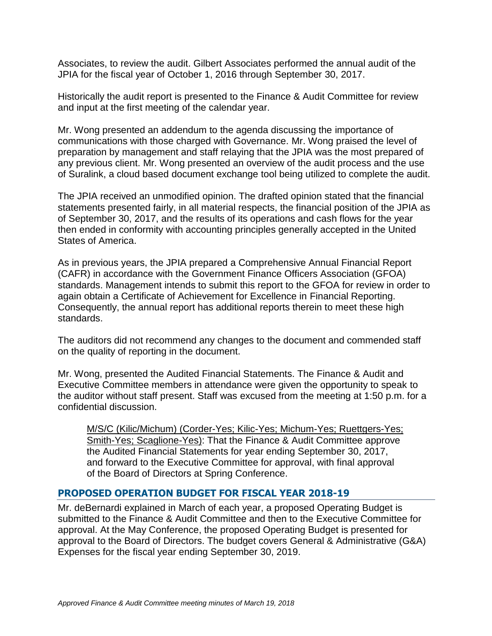Associates, to review the audit. Gilbert Associates performed the annual audit of the JPIA for the fiscal year of October 1, 2016 through September 30, 2017.

Historically the audit report is presented to the Finance & Audit Committee for review and input at the first meeting of the calendar year.

Mr. Wong presented an addendum to the agenda discussing the importance of communications with those charged with Governance. Mr. Wong praised the level of preparation by management and staff relaying that the JPIA was the most prepared of any previous client. Mr. Wong presented an overview of the audit process and the use of Suralink, a cloud based document exchange tool being utilized to complete the audit.

The JPIA received an unmodified opinion. The drafted opinion stated that the financial statements presented fairly, in all material respects, the financial position of the JPIA as of September 30, 2017, and the results of its operations and cash flows for the year then ended in conformity with accounting principles generally accepted in the United States of America.

As in previous years, the JPIA prepared a Comprehensive Annual Financial Report (CAFR) in accordance with the Government Finance Officers Association (GFOA) standards. Management intends to submit this report to the GFOA for review in order to again obtain a Certificate of Achievement for Excellence in Financial Reporting. Consequently, the annual report has additional reports therein to meet these high standards.

The auditors did not recommend any changes to the document and commended staff on the quality of reporting in the document.

Mr. Wong, presented the Audited Financial Statements. The Finance & Audit and Executive Committee members in attendance were given the opportunity to speak to the auditor without staff present. Staff was excused from the meeting at 1:50 p.m. for a confidential discussion.

M/S/C (Kilic/Michum) (Corder-Yes; Kilic-Yes; Michum-Yes; Ruettgers-Yes; Smith-Yes; Scaglione-Yes): That the Finance & Audit Committee approve the Audited Financial Statements for year ending September 30, 2017, and forward to the Executive Committee for approval, with final approval of the Board of Directors at Spring Conference.

## **PROPOSED OPERATION BUDGET FOR FISCAL YEAR 2018-19**

Mr. deBernardi explained in March of each year, a proposed Operating Budget is submitted to the Finance & Audit Committee and then to the Executive Committee for approval. At the May Conference, the proposed Operating Budget is presented for approval to the Board of Directors. The budget covers General & Administrative (G&A) Expenses for the fiscal year ending September 30, 2019.